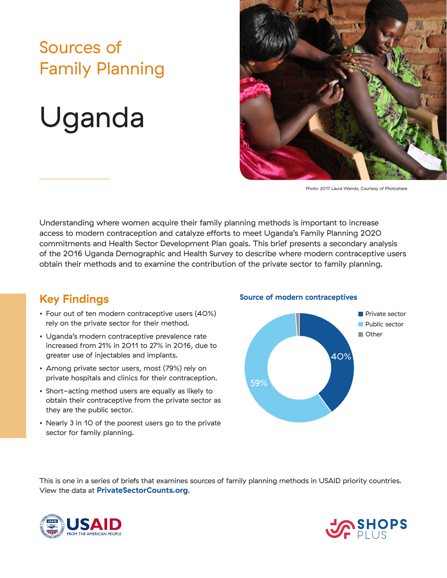## Sources of Family Planning

# Uganda



*Photo: 2017 Laura Wando, Courtesy of Photoshare*

Understanding where women acquire their family planning methods is important to increase access to modern contraception and catalyze efforts to meet Uganda's Family Planning 2020 commitments and Health Sector Development Plan goals. This brief presents a secondary analysis of the 2016 Uganda Demographic and Health Survey to describe where modern contraceptive users obtain their methods and to examine the contribution of the private sector to family planning.

### **Key Findings**

- Four out of ten modern contraceptive users (40%) rely on the private sector for their method.
- Uganda's modern contraceptive prevalence rate increased from 21% in 2011 to 27% in 2016, due to greater use of injectables and implants.
- Among private sector users, most (79%) rely on private hospitals and clinics for their contraception.
- Short-acting method users are equally as likely to obtain their contraceptive from the private sector as they are the public sector.
- Nearly 3 in 10 of the poorest users go to the private sector for family planning.

#### **Source of modern contraceptives**



This is one in a series of briefs that examines sources of family planning methods in USAID priority countries. View the data at **PrivateSectorCounts.org**.



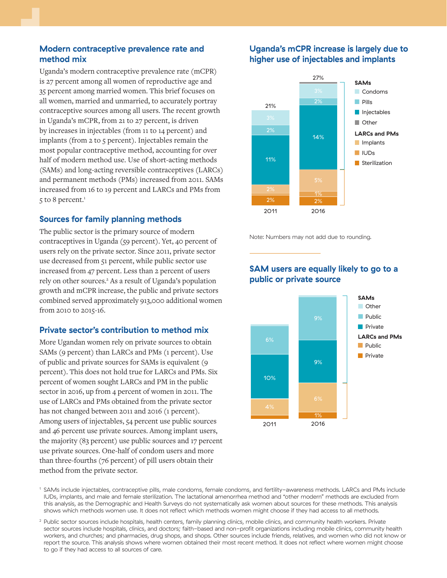#### **Modern contraceptive prevalence rate and method mix**

Uganda's modern contraceptive prevalence rate (mCPR) is 27 percent among all women of reproductive age and 35 percent among married women. This brief focuses on all women, married and unmarried, to accurately portray contraceptive sources among all users. The recent growth in Uganda's mCPR, from 21 to 27 percent, is driven by increases in injectables (from 11 to 14 percent) and implants (from 2 to 5 percent). Injectables remain the most popular contraceptive method, accounting for over half of modern method use. Use of short-acting methods (SAMs) and long-acting reversible contraceptives (LARCs) and permanent methods (PMs) increased from 2011. SAMs increased from 16 to 19 percent and LARCs and PMs from 5 to 8 percent.<sup>1</sup>

#### **Sources for family planning methods**

The public sector is the primary source of modern contraceptives in Uganda (59 percent). Yet, 40 percent of users rely on the private sector. Since 2011, private sector use decreased from 51 percent, while public sector use increased from 47 percent. Less than 2 percent of users rely on other sources.<sup>2</sup> As a result of Uganda's population growth and mCPR increase, the public and private sectors combined served approximately 913,000 additional women from 2010 to 2015-16.

#### **Private sector's contribution to method mix**

More Ugandan women rely on private sources to obtain SAMs (9 percent) than LARCs and PMs (1 percent). Use of public and private sources for SAMs is equivalent (9 percent). This does not hold true for LARCs and PMs. Six percent of women sought LARCs and PM in the public sector in 2016, up from 4 percent of women in 2011. The use of LARCs and PMs obtained from the private sector has not changed between 2011 and 2016 (1 percent). Among users of injectables, 54 percent use public sources and 46 percent use private sources. Among implant users, the majority (83 percent) use public sources and 17 percent use private sources. One-half of condom users and more than three-fourths (76 percent) of pill users obtain their method from the private sector.

#### **Uganda's mCPR increase is largely due to higher use of injectables and implants**



Note: Numbers may not add due to rounding.

#### **SAM users are equally likely to go to a public or private source**



<sup>1</sup> SAMs include injectables, contraceptive pills, male condoms, female condoms, and fertility-awareness methods. LARCs and PMs include IUDs, implants, and male and female sterilization. The lactational amenorrhea method and "other modern" methods are excluded from this analysis, as the Demographic and Health Surveys do not systematically ask women about sources for these methods. This analysis shows which methods women use. It does not reflect which methods women might choose if they had access to all methods.

<sup>2</sup> Public sector sources include hospitals, health centers, family planning clinics, mobile clinics, and community health workers. Private sector sources include hospitals, clinics, and doctors; faith-based and non-profit organizations including mobile clinics, community health workers, and churches; and pharmacies, drug shops, and shops. Other sources include friends, relatives, and women who did not know or report the source. This analysis shows where women obtained their most recent method. It does not reflect where women might choose to go if they had access to all sources of care.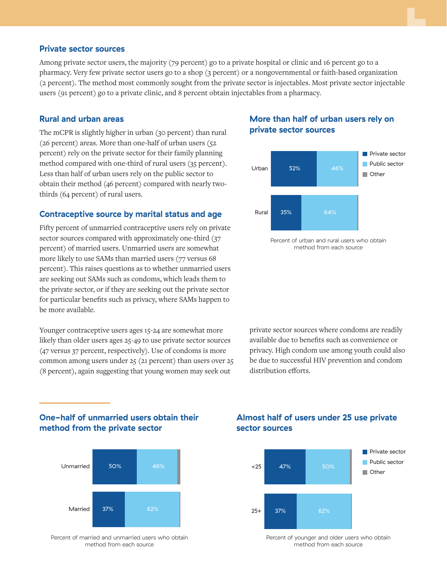#### **Private sector sources**

Among private sector users, the majority (79 percent) go to a private hospital or clinic and 16 percent go to a pharmacy. Very few private sector users go to a shop (3 percent) or a nongovernmental or faith-based organization (2 percent). The method most commonly sought from the private sector is injectables. Most private sector injectable users (91 percent) go to a private clinic, and 8 percent obtain injectables from a pharmacy.

#### **Rural and urban areas**

The mCPR is slightly higher in urban (30 percent) than rural (26 percent) areas. More than one-half of urban users (52 percent) rely on the private sector for their family planning method compared with one-third of rural users (35 percent). Less than half of urban users rely on the public sector to obtain their method (46 percent) compared with nearly twothirds (64 percent) of rural users.

#### **Contraceptive source by marital status and age**

Fifty percent of unmarried contraceptive users rely on private sector sources compared with approximately one-third (37 percent) of married users. Unmarried users are somewhat more likely to use SAMs than married users (77 versus 68 percent). This raises questions as to whether unmarried users are seeking out SAMs such as condoms, which leads them to the private sector, or if they are seeking out the private sector for particular benefits such as privacy, where SAMs happen to be more available.

Younger contraceptive users ages 15-24 are somewhat more likely than older users ages 25-49 to use private sector sources (47 versus 37 percent, respectively). Use of condoms is more common among users under 25 (21 percent) than users over 25 (8 percent), again suggesting that young women may seek out

#### **More than half of urban users rely on private sector sources**



method from each source

private sector sources where condoms are readily available due to benefits such as convenience or privacy. High condom use among youth could also be due to successful HIV prevention and condom distribution efforts.

#### **One-half of unmarried users obtain their method from the private sector**



Percent of married and unmarried users who obtain method from each source

#### **Almost half of users under 25 use private sector sources**



Percent of younger and older users who obtain method from each source